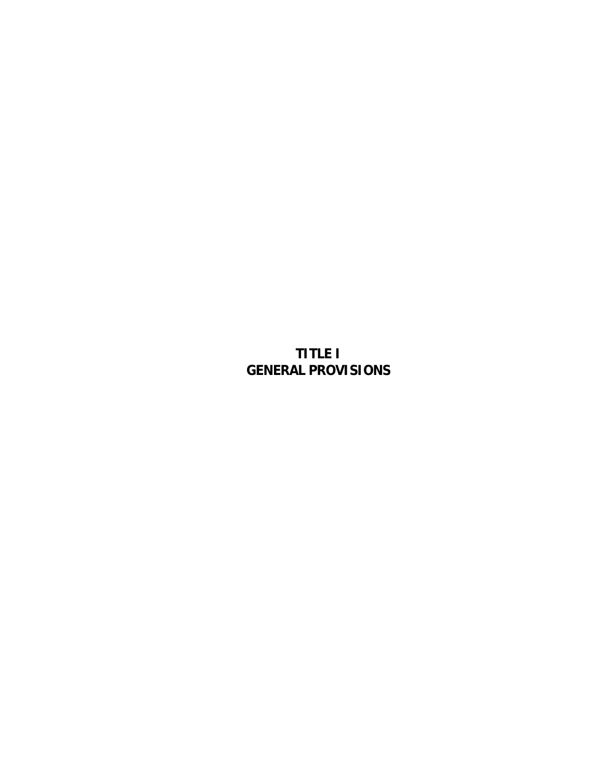# **TITLE I GENERAL PROVISIONS**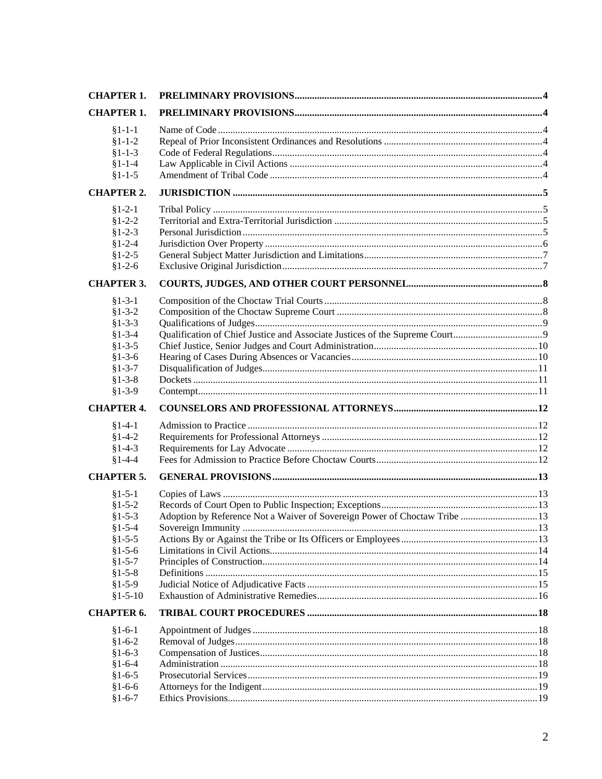| <b>CHAPTER 1.</b>        |                                                                            |  |
|--------------------------|----------------------------------------------------------------------------|--|
| <b>CHAPTER 1.</b>        |                                                                            |  |
| $§1 - 1 - 1$             |                                                                            |  |
| $§1 - 1 - 2$             |                                                                            |  |
| $§1 - 1 - 3$             |                                                                            |  |
| $§1 - 1 - 4$             |                                                                            |  |
| $§1 - 1 - 5$             |                                                                            |  |
| <b>CHAPTER 2.</b>        |                                                                            |  |
| $$1-2-1$                 |                                                                            |  |
| $$1-2-2$                 |                                                                            |  |
| $$1-2-3$                 |                                                                            |  |
| $$1-2-4$                 |                                                                            |  |
| $$1-2-5$                 |                                                                            |  |
| $$1-2-6$                 |                                                                            |  |
| <b>CHAPTER 3.</b>        |                                                                            |  |
| $§1 - 3 - 1$             |                                                                            |  |
| $$1-3-2$                 |                                                                            |  |
| $§1 - 3 - 3$             |                                                                            |  |
| $§1 - 3 - 4$             |                                                                            |  |
| $$1-3-5$                 |                                                                            |  |
| $$1-3-6$                 |                                                                            |  |
| $§1 - 3 - 7$             |                                                                            |  |
| $$1-3-8$                 |                                                                            |  |
| $$1-3-9$                 |                                                                            |  |
|                          |                                                                            |  |
| <b>CHAPTER 4.</b>        |                                                                            |  |
| $§1-4-1$                 |                                                                            |  |
| $§1 - 4 - 2$             |                                                                            |  |
| $§1-4-3$                 |                                                                            |  |
| $§1-4-4$                 |                                                                            |  |
| <b>CHAPTER 5.</b>        |                                                                            |  |
| $§1 - 5 - 1$             |                                                                            |  |
| $$1-5-2$                 |                                                                            |  |
| $§1 - 5 - 3$             | Adoption by Reference Not a Waiver of Sovereign Power of Choctaw Tribe  13 |  |
| $§1 - 5 - 4$             |                                                                            |  |
| $§1 - 5 - 5$             |                                                                            |  |
| $$1-5-6$                 |                                                                            |  |
| $§1 - 5 - 7$             |                                                                            |  |
| $$1-5-8$                 |                                                                            |  |
| $§1 - 5 - 9$             |                                                                            |  |
| $$1-5-10$                |                                                                            |  |
| <b>CHAPTER 6.</b>        |                                                                            |  |
| $§1 - 6 - 1$             |                                                                            |  |
| $$1-6-2$                 |                                                                            |  |
| $§1-6-3$                 |                                                                            |  |
| $§1-6-4$                 |                                                                            |  |
| $§1 - 6 - 5$<br>$$1-6-6$ |                                                                            |  |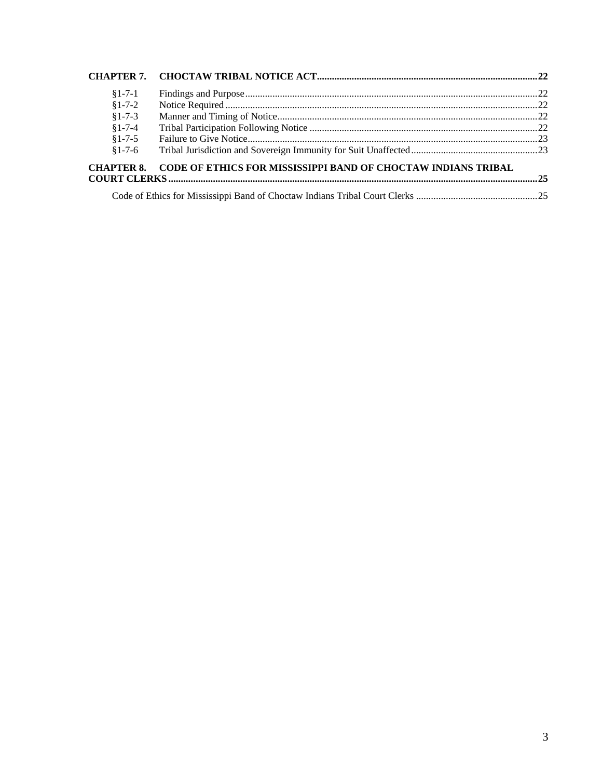| $§1 - 7 - 1$      |                                                                      |  |
|-------------------|----------------------------------------------------------------------|--|
| $$1-7-2$          |                                                                      |  |
| $§1 - 7 - 3$      |                                                                      |  |
| $§1 - 7 - 4$      |                                                                      |  |
| $§1 - 7 - 5$      |                                                                      |  |
| $$1-7-6$          |                                                                      |  |
| <b>CHAPTER 8.</b> | <b>CODE OF ETHICS FOR MISSISSIPPI BAND OF CHOCTAW INDIANS TRIBAL</b> |  |
|                   |                                                                      |  |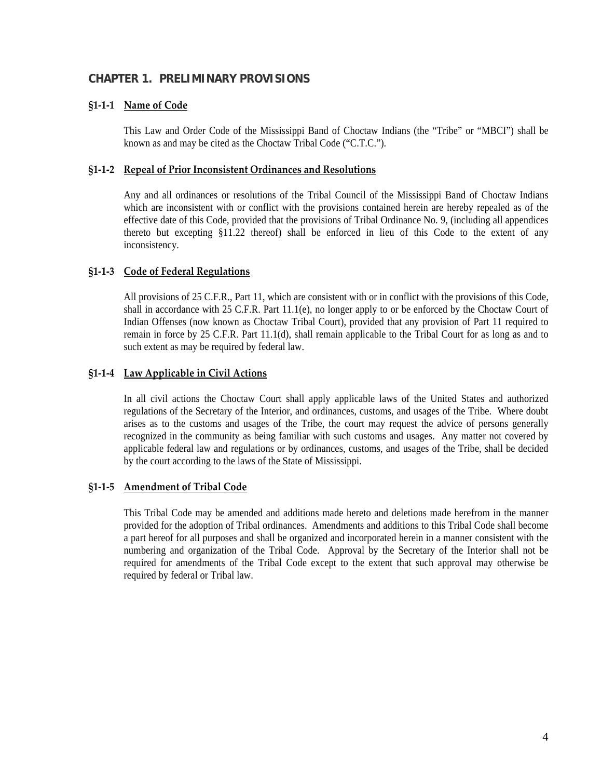## <span id="page-3-0"></span>**CHAPTER 1. PRELIMINARY PROVISIONS**

### **§1‐1‐1 Name of Code**

This Law and Order Code of the Mississippi Band of Choctaw Indians (the "Tribe" or "MBCI") shall be known as and may be cited as the Choctaw Tribal Code ("C.T.C.").

#### **§1‐1‐2 Repeal of Prior Inconsistent Ordinances and Resolutions**

Any and all ordinances or resolutions of the Tribal Council of the Mississippi Band of Choctaw Indians which are inconsistent with or conflict with the provisions contained herein are hereby repealed as of the effective date of this Code, provided that the provisions of Tribal Ordinance No. 9, (including all appendices thereto but excepting §11.22 thereof) shall be enforced in lieu of this Code to the extent of any inconsistency.

#### **§1‐1‐3 Code of Federal Regulations**

All provisions of 25 C.F.R., Part 11, which are consistent with or in conflict with the provisions of this Code, shall in accordance with 25 C.F.R. Part  $11.1(e)$ , no longer apply to or be enforced by the Choctaw Court of Indian Offenses (now known as Choctaw Tribal Court), provided that any provision of Part 11 required to remain in force by 25 C.F.R. Part 11.1(d), shall remain applicable to the Tribal Court for as long as and to such extent as may be required by federal law.

### **§1‐1‐4 Law Applicable in Civil Actions**

In all civil actions the Choctaw Court shall apply applicable laws of the United States and authorized regulations of the Secretary of the Interior, and ordinances, customs, and usages of the Tribe. Where doubt arises as to the customs and usages of the Tribe, the court may request the advice of persons generally recognized in the community as being familiar with such customs and usages. Any matter not covered by applicable federal law and regulations or by ordinances, customs, and usages of the Tribe, shall be decided by the court according to the laws of the State of Mississippi.

#### **§1‐1‐5 Amendment of Tribal Code**

This Tribal Code may be amended and additions made hereto and deletions made herefrom in the manner provided for the adoption of Tribal ordinances. Amendments and additions to this Tribal Code shall become a part hereof for all purposes and shall be organized and incorporated herein in a manner consistent with the numbering and organization of the Tribal Code. Approval by the Secretary of the Interior shall not be required for amendments of the Tribal Code except to the extent that such approval may otherwise be required by federal or Tribal law.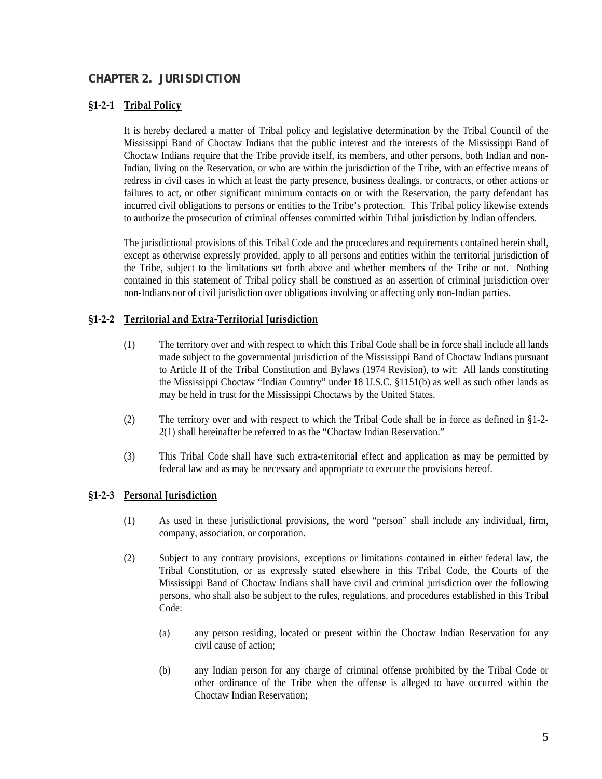## <span id="page-4-0"></span>**CHAPTER 2. JURISDICTION**

#### **§1‐2‐1 Tribal Policy**

It is hereby declared a matter of Tribal policy and legislative determination by the Tribal Council of the Mississippi Band of Choctaw Indians that the public interest and the interests of the Mississippi Band of Choctaw Indians require that the Tribe provide itself, its members, and other persons, both Indian and non-Indian, living on the Reservation, or who are within the jurisdiction of the Tribe, with an effective means of redress in civil cases in which at least the party presence, business dealings, or contracts, or other actions or failures to act, or other significant minimum contacts on or with the Reservation, the party defendant has incurred civil obligations to persons or entities to the Tribe's protection. This Tribal policy likewise extends to authorize the prosecution of criminal offenses committed within Tribal jurisdiction by Indian offenders.

The jurisdictional provisions of this Tribal Code and the procedures and requirements contained herein shall, except as otherwise expressly provided, apply to all persons and entities within the territorial jurisdiction of the Tribe, subject to the limitations set forth above and whether members of the Tribe or not. Nothing contained in this statement of Tribal policy shall be construed as an assertion of criminal jurisdiction over non-Indians nor of civil jurisdiction over obligations involving or affecting only non-Indian parties.

### **§1‐2‐2 Territorial and Extra‐Territorial Jurisdiction**

- (1) The territory over and with respect to which this Tribal Code shall be in force shall include all lands made subject to the governmental jurisdiction of the Mississippi Band of Choctaw Indians pursuant to Article II of the Tribal Constitution and Bylaws (1974 Revision), to wit: All lands constituting the Mississippi Choctaw "Indian Country" under 18 U.S.C. §1151(b) as well as such other lands as may be held in trust for the Mississippi Choctaws by the United States.
- (2) The territory over and with respect to which the Tribal Code shall be in force as defined in §1-2- 2(1) shall hereinafter be referred to as the "Choctaw Indian Reservation."
- (3) This Tribal Code shall have such extra-territorial effect and application as may be permitted by federal law and as may be necessary and appropriate to execute the provisions hereof.

#### **§1‐2‐3 Personal Jurisdiction**

- (1) As used in these jurisdictional provisions, the word "person" shall include any individual, firm, company, association, or corporation.
- (2) Subject to any contrary provisions, exceptions or limitations contained in either federal law, the Tribal Constitution, or as expressly stated elsewhere in this Tribal Code, the Courts of the Mississippi Band of Choctaw Indians shall have civil and criminal jurisdiction over the following persons, who shall also be subject to the rules, regulations, and procedures established in this Tribal Code:
	- (a) any person residing, located or present within the Choctaw Indian Reservation for any civil cause of action;
	- (b) any Indian person for any charge of criminal offense prohibited by the Tribal Code or other ordinance of the Tribe when the offense is alleged to have occurred within the Choctaw Indian Reservation;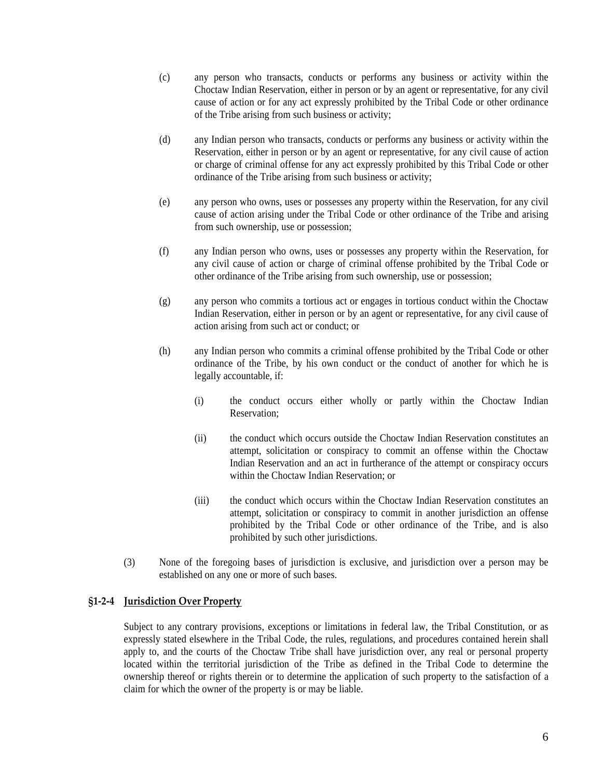- <span id="page-5-0"></span>(c) any person who transacts, conducts or performs any business or activity within the Choctaw Indian Reservation, either in person or by an agent or representative, for any civil cause of action or for any act expressly prohibited by the Tribal Code or other ordinance of the Tribe arising from such business or activity;
- (d) any Indian person who transacts, conducts or performs any business or activity within the Reservation, either in person or by an agent or representative, for any civil cause of action or charge of criminal offense for any act expressly prohibited by this Tribal Code or other ordinance of the Tribe arising from such business or activity;
- (e) any person who owns, uses or possesses any property within the Reservation, for any civil cause of action arising under the Tribal Code or other ordinance of the Tribe and arising from such ownership, use or possession;
- (f) any Indian person who owns, uses or possesses any property within the Reservation, for any civil cause of action or charge of criminal offense prohibited by the Tribal Code or other ordinance of the Tribe arising from such ownership, use or possession;
- (g) any person who commits a tortious act or engages in tortious conduct within the Choctaw Indian Reservation, either in person or by an agent or representative, for any civil cause of action arising from such act or conduct; or
- (h) any Indian person who commits a criminal offense prohibited by the Tribal Code or other ordinance of the Tribe, by his own conduct or the conduct of another for which he is legally accountable, if:
	- (i) the conduct occurs either wholly or partly within the Choctaw Indian Reservation;
	- (ii) the conduct which occurs outside the Choctaw Indian Reservation constitutes an attempt, solicitation or conspiracy to commit an offense within the Choctaw Indian Reservation and an act in furtherance of the attempt or conspiracy occurs within the Choctaw Indian Reservation; or
	- (iii) the conduct which occurs within the Choctaw Indian Reservation constitutes an attempt, solicitation or conspiracy to commit in another jurisdiction an offense prohibited by the Tribal Code or other ordinance of the Tribe, and is also prohibited by such other jurisdictions.
- (3) None of the foregoing bases of jurisdiction is exclusive, and jurisdiction over a person may be established on any one or more of such bases.

#### **§1‐2‐4 Jurisdiction Over Property**

Subject to any contrary provisions, exceptions or limitations in federal law, the Tribal Constitution, or as expressly stated elsewhere in the Tribal Code, the rules, regulations, and procedures contained herein shall apply to, and the courts of the Choctaw Tribe shall have jurisdiction over, any real or personal property located within the territorial jurisdiction of the Tribe as defined in the Tribal Code to determine the ownership thereof or rights therein or to determine the application of such property to the satisfaction of a claim for which the owner of the property is or may be liable.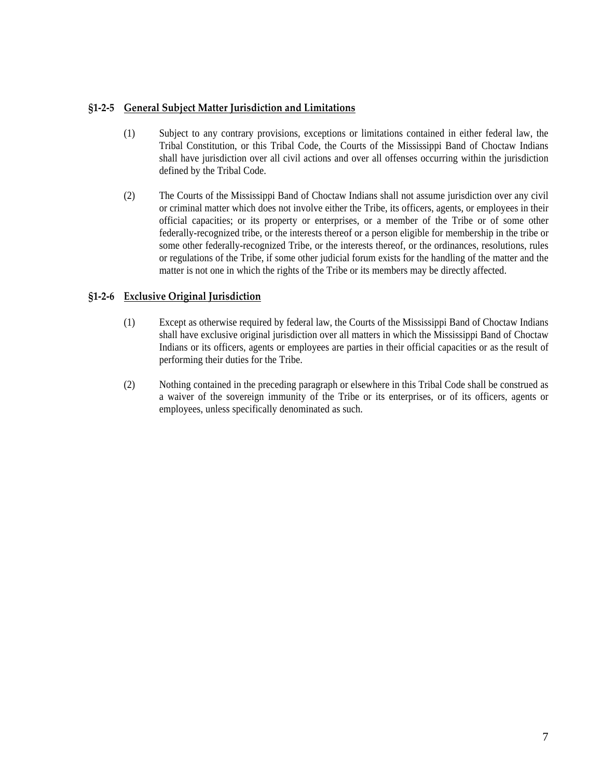## <span id="page-6-0"></span>**§1‐2‐5 General Subject Matter Jurisdiction and Limitations**

- (1) Subject to any contrary provisions, exceptions or limitations contained in either federal law, the Tribal Constitution, or this Tribal Code, the Courts of the Mississippi Band of Choctaw Indians shall have jurisdiction over all civil actions and over all offenses occurring within the jurisdiction defined by the Tribal Code.
- (2) The Courts of the Mississippi Band of Choctaw Indians shall not assume jurisdiction over any civil or criminal matter which does not involve either the Tribe, its officers, agents, or employees in their official capacities; or its property or enterprises, or a member of the Tribe or of some other federally-recognized tribe, or the interests thereof or a person eligible for membership in the tribe or some other federally-recognized Tribe, or the interests thereof, or the ordinances, resolutions, rules or regulations of the Tribe, if some other judicial forum exists for the handling of the matter and the matter is not one in which the rights of the Tribe or its members may be directly affected.

## **§1‐2‐6 Exclusive Original Jurisdiction**

- (1) Except as otherwise required by federal law, the Courts of the Mississippi Band of Choctaw Indians shall have exclusive original jurisdiction over all matters in which the Mississippi Band of Choctaw Indians or its officers, agents or employees are parties in their official capacities or as the result of performing their duties for the Tribe.
- (2) Nothing contained in the preceding paragraph or elsewhere in this Tribal Code shall be construed as a waiver of the sovereign immunity of the Tribe or its enterprises, or of its officers, agents or employees, unless specifically denominated as such.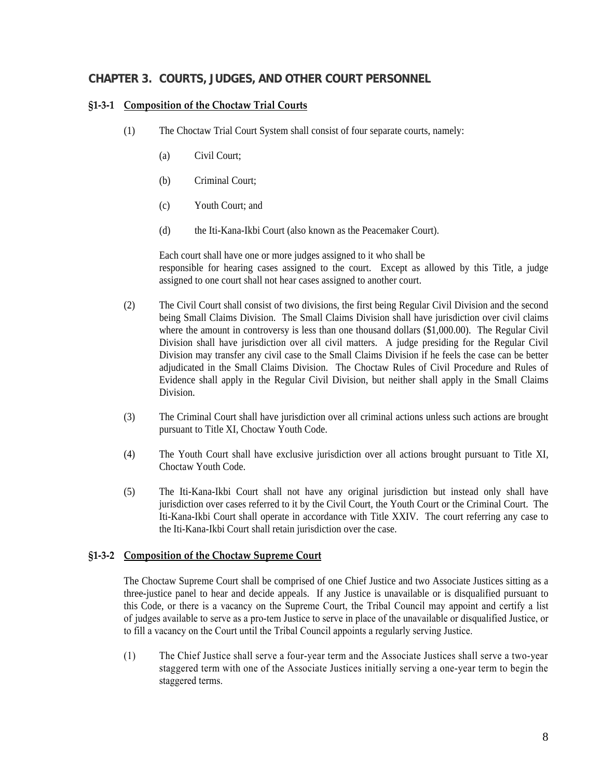## <span id="page-7-0"></span>**CHAPTER 3. COURTS, JUDGES, AND OTHER COURT PERSONNEL**

### **§1‐3‐1 Composition of the Choctaw Trial Courts**

- (1) The Choctaw Trial Court System shall consist of four separate courts, namely:
	- (a) Civil Court;
	- (b) Criminal Court;
	- (c) Youth Court; and
	- (d) the Iti-Kana-Ikbi Court (also known as the Peacemaker Court).

Each court shall have one or more judges assigned to it who shall be responsible for hearing cases assigned to the court. Except as allowed by this Title, a judge assigned to one court shall not hear cases assigned to another court.

- (2) The Civil Court shall consist of two divisions, the first being Regular Civil Division and the second being Small Claims Division. The Small Claims Division shall have jurisdiction over civil claims where the amount in controversy is less than one thousand dollars (\$1,000.00). The Regular Civil Division shall have jurisdiction over all civil matters. A judge presiding for the Regular Civil Division may transfer any civil case to the Small Claims Division if he feels the case can be better adjudicated in the Small Claims Division. The Choctaw Rules of Civil Procedure and Rules of Evidence shall apply in the Regular Civil Division, but neither shall apply in the Small Claims Division.
- (3) The Criminal Court shall have jurisdiction over all criminal actions unless such actions are brought pursuant to Title XI, Choctaw Youth Code.
- (4) The Youth Court shall have exclusive jurisdiction over all actions brought pursuant to Title XI, Choctaw Youth Code.
- (5) The Iti-Kana-Ikbi Court shall not have any original jurisdiction but instead only shall have jurisdiction over cases referred to it by the Civil Court, the Youth Court or the Criminal Court. The Iti-Kana-Ikbi Court shall operate in accordance with Title XXIV. The court referring any case to the Iti-Kana-Ikbi Court shall retain jurisdiction over the case.

#### **§1‐3‐2 Composition of the Choctaw Supreme Court**

The Choctaw Supreme Court shall be comprised of one Chief Justice and two Associate Justices sitting as a three-justice panel to hear and decide appeals. If any Justice is unavailable or is disqualified pursuant to this Code, or there is a vacancy on the Supreme Court, the Tribal Council may appoint and certify a list of judges available to serve as a pro-tem Justice to serve in place of the unavailable or disqualified Justice, or to fill a vacancy on the Court until the Tribal Council appoints a regularly serving Justice.

(1) The Chief Justice shall serve a four-year term and the Associate Justices shall serve a two-year staggered term with one of the Associate Justices initially serving a one-year term to begin the staggered terms.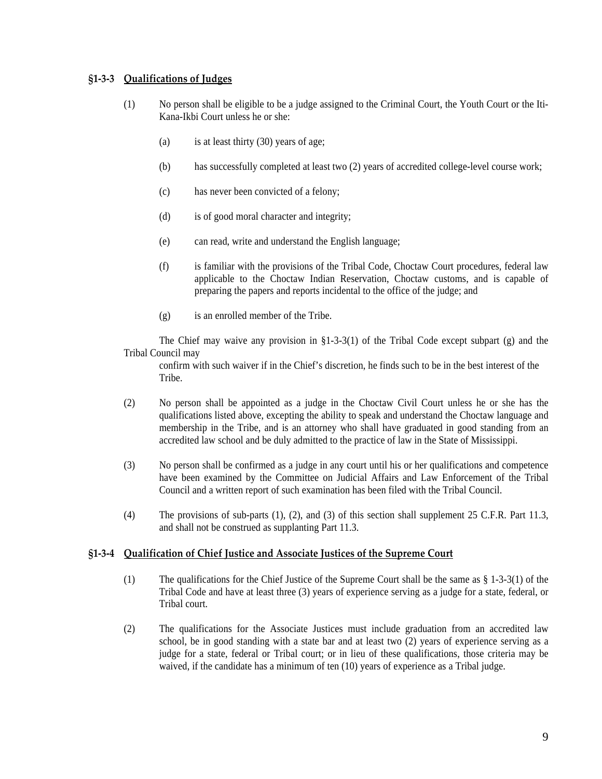### <span id="page-8-0"></span>**§1‐3‐3 Qualifications of Judges**

- (1) No person shall be eligible to be a judge assigned to the Criminal Court, the Youth Court or the Iti-Kana-Ikbi Court unless he or she:
	- (a) is at least thirty (30) years of age;
	- (b) has successfully completed at least two (2) years of accredited college-level course work;
	- (c) has never been convicted of a felony;
	- (d) is of good moral character and integrity;
	- (e) can read, write and understand the English language;
	- (f) is familiar with the provisions of the Tribal Code, Choctaw Court procedures, federal law applicable to the Choctaw Indian Reservation, Choctaw customs, and is capable of preparing the papers and reports incidental to the office of the judge; and
	- (g) is an enrolled member of the Tribe.

The Chief may waive any provision in §1-3-3(1) of the Tribal Code except subpart (g) and the Tribal Council may

confirm with such waiver if in the Chief's discretion, he finds such to be in the best interest of the Tribe.

- (2) No person shall be appointed as a judge in the Choctaw Civil Court unless he or she has the qualifications listed above, excepting the ability to speak and understand the Choctaw language and membership in the Tribe, and is an attorney who shall have graduated in good standing from an accredited law school and be duly admitted to the practice of law in the State of Mississippi.
- (3) No person shall be confirmed as a judge in any court until his or her qualifications and competence have been examined by the Committee on Judicial Affairs and Law Enforcement of the Tribal Council and a written report of such examination has been filed with the Tribal Council.
- (4) The provisions of sub-parts (1), (2), and (3) of this section shall supplement 25 C.F.R. Part 11.3, and shall not be construed as supplanting Part 11.3.

#### **§1‐3‐4 Qualification of Chief Justice and Associate Justices of the Supreme Court**

- (1) The qualifications for the Chief Justice of the Supreme Court shall be the same as § 1-3-3(1) of the Tribal Code and have at least three (3) years of experience serving as a judge for a state, federal, or Tribal court.
- (2) The qualifications for the Associate Justices must include graduation from an accredited law school, be in good standing with a state bar and at least two (2) years of experience serving as a judge for a state, federal or Tribal court; or in lieu of these qualifications, those criteria may be waived, if the candidate has a minimum of ten (10) years of experience as a Tribal judge.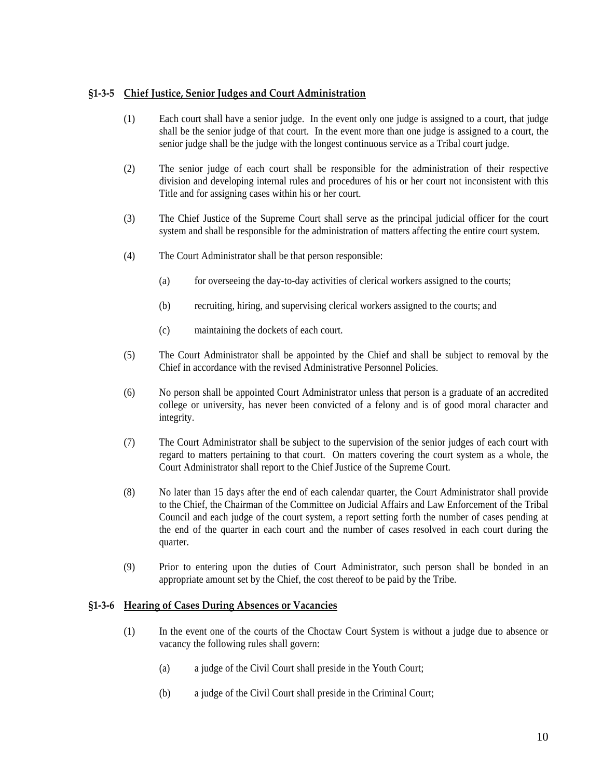### <span id="page-9-0"></span>**§1‐3‐5 Chief Justice, Senior Judges and Court Administration**

- (1) Each court shall have a senior judge. In the event only one judge is assigned to a court, that judge shall be the senior judge of that court. In the event more than one judge is assigned to a court, the senior judge shall be the judge with the longest continuous service as a Tribal court judge.
- (2) The senior judge of each court shall be responsible for the administration of their respective division and developing internal rules and procedures of his or her court not inconsistent with this Title and for assigning cases within his or her court.
- (3) The Chief Justice of the Supreme Court shall serve as the principal judicial officer for the court system and shall be responsible for the administration of matters affecting the entire court system.
- (4) The Court Administrator shall be that person responsible:
	- (a) for overseeing the day-to-day activities of clerical workers assigned to the courts;
	- (b) recruiting, hiring, and supervising clerical workers assigned to the courts; and
	- (c) maintaining the dockets of each court.
- (5) The Court Administrator shall be appointed by the Chief and shall be subject to removal by the Chief in accordance with the revised Administrative Personnel Policies.
- (6) No person shall be appointed Court Administrator unless that person is a graduate of an accredited college or university, has never been convicted of a felony and is of good moral character and integrity.
- (7) The Court Administrator shall be subject to the supervision of the senior judges of each court with regard to matters pertaining to that court. On matters covering the court system as a whole, the Court Administrator shall report to the Chief Justice of the Supreme Court.
- (8) No later than 15 days after the end of each calendar quarter, the Court Administrator shall provide to the Chief, the Chairman of the Committee on Judicial Affairs and Law Enforcement of the Tribal Council and each judge of the court system, a report setting forth the number of cases pending at the end of the quarter in each court and the number of cases resolved in each court during the quarter.
- (9) Prior to entering upon the duties of Court Administrator, such person shall be bonded in an appropriate amount set by the Chief, the cost thereof to be paid by the Tribe.

### **§1‐3‐6 Hearing of Cases During Absences or Vacancies**

- (1) In the event one of the courts of the Choctaw Court System is without a judge due to absence or vacancy the following rules shall govern:
	- (a) a judge of the Civil Court shall preside in the Youth Court;
	- (b) a judge of the Civil Court shall preside in the Criminal Court;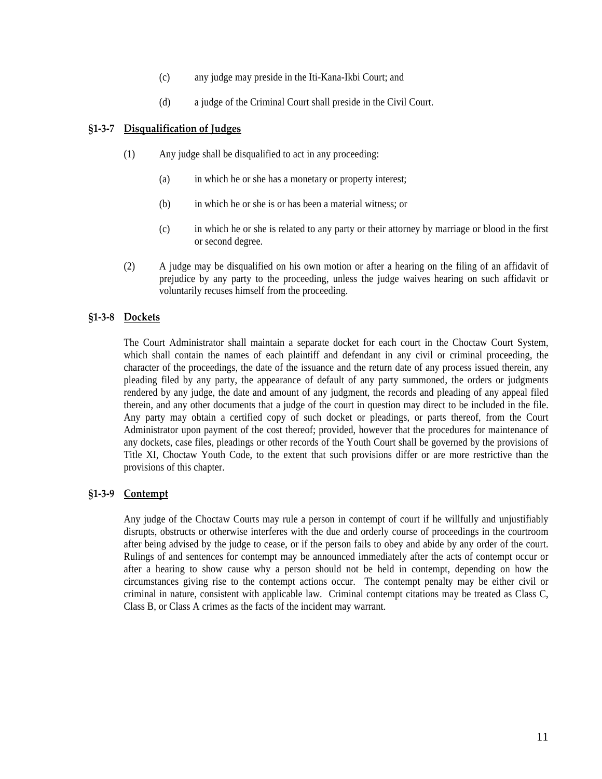- (c) any judge may preside in the Iti-Kana-Ikbi Court; and
- (d) a judge of the Criminal Court shall preside in the Civil Court.

#### <span id="page-10-0"></span>**§1‐3‐7 Disqualification of Judges**

- (1) Any judge shall be disqualified to act in any proceeding:
	- (a) in which he or she has a monetary or property interest;
	- (b) in which he or she is or has been a material witness; or
	- (c) in which he or she is related to any party or their attorney by marriage or blood in the first or second degree.
- (2) A judge may be disqualified on his own motion or after a hearing on the filing of an affidavit of prejudice by any party to the proceeding, unless the judge waives hearing on such affidavit or voluntarily recuses himself from the proceeding.

#### **§1‐3‐8 Dockets**

The Court Administrator shall maintain a separate docket for each court in the Choctaw Court System, which shall contain the names of each plaintiff and defendant in any civil or criminal proceeding, the character of the proceedings, the date of the issuance and the return date of any process issued therein, any pleading filed by any party, the appearance of default of any party summoned, the orders or judgments rendered by any judge, the date and amount of any judgment, the records and pleading of any appeal filed therein, and any other documents that a judge of the court in question may direct to be included in the file. Any party may obtain a certified copy of such docket or pleadings, or parts thereof, from the Court Administrator upon payment of the cost thereof; provided, however that the procedures for maintenance of any dockets, case files, pleadings or other records of the Youth Court shall be governed by the provisions of Title XI, Choctaw Youth Code, to the extent that such provisions differ or are more restrictive than the provisions of this chapter.

#### **§1‐3‐9 Contempt**

Any judge of the Choctaw Courts may rule a person in contempt of court if he willfully and unjustifiably disrupts, obstructs or otherwise interferes with the due and orderly course of proceedings in the courtroom after being advised by the judge to cease, or if the person fails to obey and abide by any order of the court. Rulings of and sentences for contempt may be announced immediately after the acts of contempt occur or after a hearing to show cause why a person should not be held in contempt, depending on how the circumstances giving rise to the contempt actions occur. The contempt penalty may be either civil or criminal in nature, consistent with applicable law. Criminal contempt citations may be treated as Class C, Class B, or Class A crimes as the facts of the incident may warrant.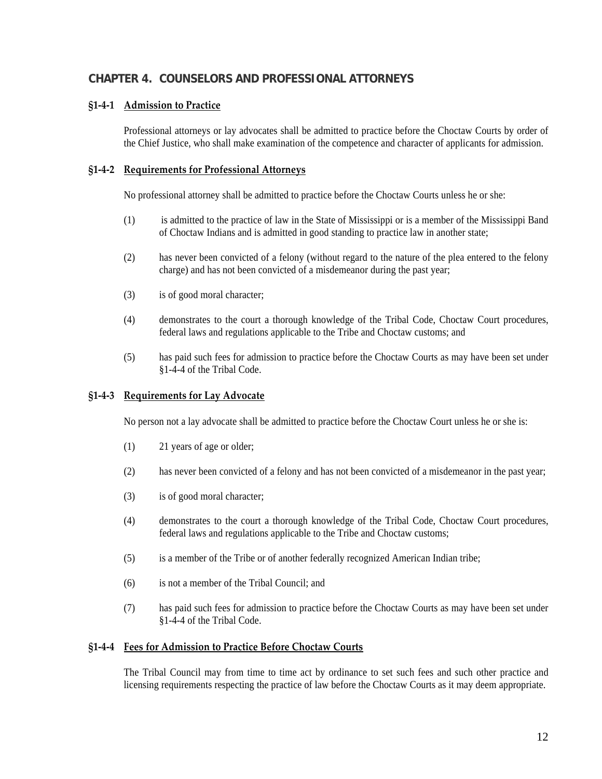## <span id="page-11-0"></span>**CHAPTER 4. COUNSELORS AND PROFESSIONAL ATTORNEYS**

## **§1‐4‐1 Admission to Practice**

Professional attorneys or lay advocates shall be admitted to practice before the Choctaw Courts by order of the Chief Justice, who shall make examination of the competence and character of applicants for admission.

#### **§1‐4‐2 Requirements for Professional Attorneys**

No professional attorney shall be admitted to practice before the Choctaw Courts unless he or she:

- (1) is admitted to the practice of law in the State of Mississippi or is a member of the Mississippi Band of Choctaw Indians and is admitted in good standing to practice law in another state;
- (2) has never been convicted of a felony (without regard to the nature of the plea entered to the felony charge) and has not been convicted of a misdemeanor during the past year;
- (3) is of good moral character;
- (4) demonstrates to the court a thorough knowledge of the Tribal Code, Choctaw Court procedures, federal laws and regulations applicable to the Tribe and Choctaw customs; and
- (5) has paid such fees for admission to practice before the Choctaw Courts as may have been set under §1-4-4 of the Tribal Code.

#### **§1‐4‐3 Requirements for Lay Advocate**

No person not a lay advocate shall be admitted to practice before the Choctaw Court unless he or she is:

- (1) 21 years of age or older;
- (2) has never been convicted of a felony and has not been convicted of a misdemeanor in the past year;
- (3) is of good moral character;
- (4) demonstrates to the court a thorough knowledge of the Tribal Code, Choctaw Court procedures, federal laws and regulations applicable to the Tribe and Choctaw customs;
- (5) is a member of the Tribe or of another federally recognized American Indian tribe;
- (6) is not a member of the Tribal Council; and
- (7) has paid such fees for admission to practice before the Choctaw Courts as may have been set under §1-4-4 of the Tribal Code.

#### **§1‐4‐4 Fees for Admission to Practice Before Choctaw Courts**

The Tribal Council may from time to time act by ordinance to set such fees and such other practice and licensing requirements respecting the practice of law before the Choctaw Courts as it may deem appropriate.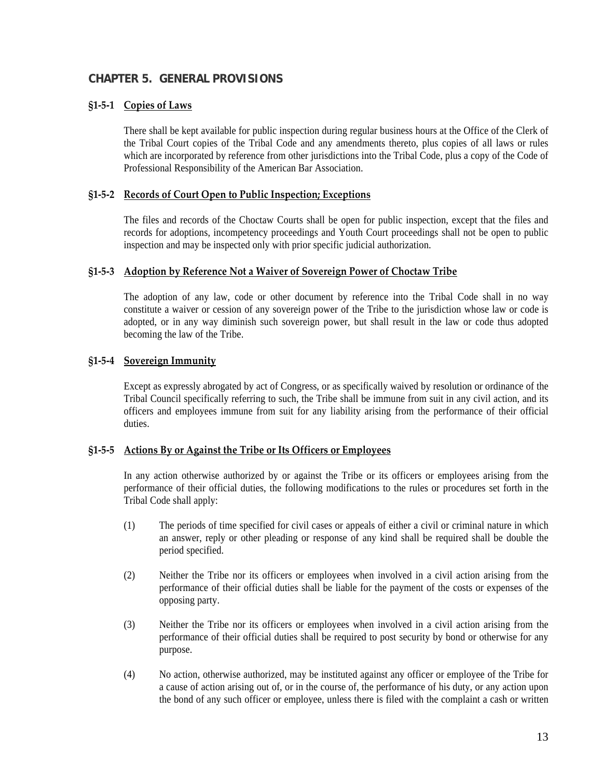## <span id="page-12-0"></span>**CHAPTER 5. GENERAL PROVISIONS**

#### **§1‐5‐1 Copies of Laws**

There shall be kept available for public inspection during regular business hours at the Office of the Clerk of the Tribal Court copies of the Tribal Code and any amendments thereto, plus copies of all laws or rules which are incorporated by reference from other jurisdictions into the Tribal Code, plus a copy of the Code of Professional Responsibility of the American Bar Association.

#### **§1‐5‐2 Records of Court Open to Public Inspection; Exceptions**

The files and records of the Choctaw Courts shall be open for public inspection, except that the files and records for adoptions, incompetency proceedings and Youth Court proceedings shall not be open to public inspection and may be inspected only with prior specific judicial authorization.

#### **§1‐5‐3 Adoption by Reference Not a Waiver of Sovereign Power of Choctaw Tribe**

The adoption of any law, code or other document by reference into the Tribal Code shall in no way constitute a waiver or cession of any sovereign power of the Tribe to the jurisdiction whose law or code is adopted, or in any way diminish such sovereign power, but shall result in the law or code thus adopted becoming the law of the Tribe.

#### **§1‐5‐4 Sovereign Immunity**

Except as expressly abrogated by act of Congress, or as specifically waived by resolution or ordinance of the Tribal Council specifically referring to such, the Tribe shall be immune from suit in any civil action, and its officers and employees immune from suit for any liability arising from the performance of their official duties.

#### **§1‐5‐5 Actions By or Against the Tribe or Its Officers or Employees**

In any action otherwise authorized by or against the Tribe or its officers or employees arising from the performance of their official duties, the following modifications to the rules or procedures set forth in the Tribal Code shall apply:

- (1) The periods of time specified for civil cases or appeals of either a civil or criminal nature in which an answer, reply or other pleading or response of any kind shall be required shall be double the period specified.
- (2) Neither the Tribe nor its officers or employees when involved in a civil action arising from the performance of their official duties shall be liable for the payment of the costs or expenses of the opposing party.
- (3) Neither the Tribe nor its officers or employees when involved in a civil action arising from the performance of their official duties shall be required to post security by bond or otherwise for any purpose.
- (4) No action, otherwise authorized, may be instituted against any officer or employee of the Tribe for a cause of action arising out of, or in the course of, the performance of his duty, or any action upon the bond of any such officer or employee, unless there is filed with the complaint a cash or written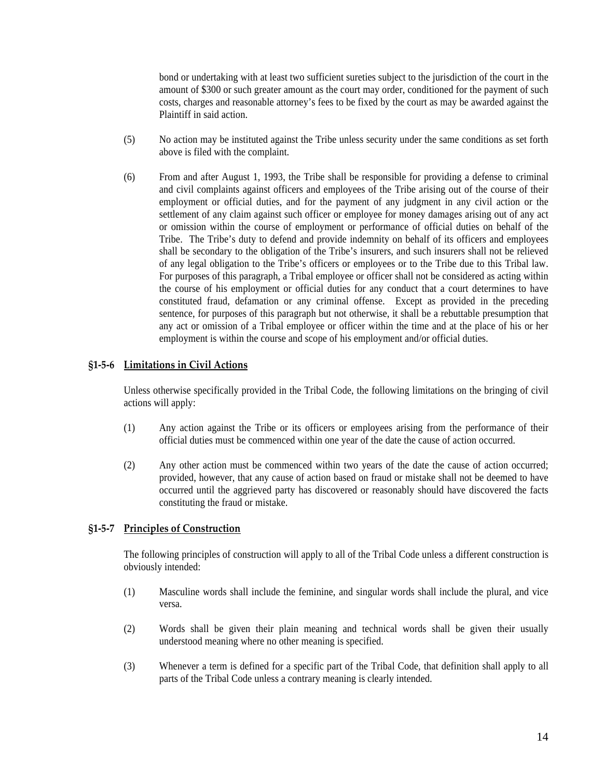<span id="page-13-0"></span>bond or undertaking with at least two sufficient sureties subject to the jurisdiction of the court in the amount of \$300 or such greater amount as the court may order, conditioned for the payment of such costs, charges and reasonable attorney's fees to be fixed by the court as may be awarded against the Plaintiff in said action.

- (5) No action may be instituted against the Tribe unless security under the same conditions as set forth above is filed with the complaint.
- (6) From and after August 1, 1993, the Tribe shall be responsible for providing a defense to criminal and civil complaints against officers and employees of the Tribe arising out of the course of their employment or official duties, and for the payment of any judgment in any civil action or the settlement of any claim against such officer or employee for money damages arising out of any act or omission within the course of employment or performance of official duties on behalf of the Tribe. The Tribe's duty to defend and provide indemnity on behalf of its officers and employees shall be secondary to the obligation of the Tribe's insurers, and such insurers shall not be relieved of any legal obligation to the Tribe's officers or employees or to the Tribe due to this Tribal law. For purposes of this paragraph, a Tribal employee or officer shall not be considered as acting within the course of his employment or official duties for any conduct that a court determines to have constituted fraud, defamation or any criminal offense. Except as provided in the preceding sentence, for purposes of this paragraph but not otherwise, it shall be a rebuttable presumption that any act or omission of a Tribal employee or officer within the time and at the place of his or her employment is within the course and scope of his employment and/or official duties.

#### **§1‐5‐6 Limitations in Civil Actions**

Unless otherwise specifically provided in the Tribal Code, the following limitations on the bringing of civil actions will apply:

- (1) Any action against the Tribe or its officers or employees arising from the performance of their official duties must be commenced within one year of the date the cause of action occurred.
- (2) Any other action must be commenced within two years of the date the cause of action occurred; provided, however, that any cause of action based on fraud or mistake shall not be deemed to have occurred until the aggrieved party has discovered or reasonably should have discovered the facts constituting the fraud or mistake.

#### **§1‐5‐7 Principles of Construction**

The following principles of construction will apply to all of the Tribal Code unless a different construction is obviously intended:

- (1) Masculine words shall include the feminine, and singular words shall include the plural, and vice versa.
- (2) Words shall be given their plain meaning and technical words shall be given their usually understood meaning where no other meaning is specified.
- (3) Whenever a term is defined for a specific part of the Tribal Code, that definition shall apply to all parts of the Tribal Code unless a contrary meaning is clearly intended.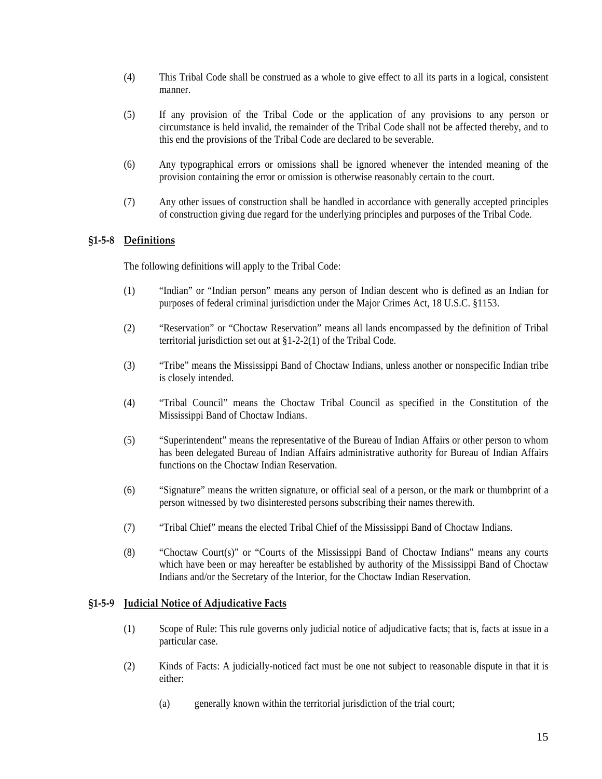- <span id="page-14-0"></span>(4) This Tribal Code shall be construed as a whole to give effect to all its parts in a logical, consistent manner.
- (5) If any provision of the Tribal Code or the application of any provisions to any person or circumstance is held invalid, the remainder of the Tribal Code shall not be affected thereby, and to this end the provisions of the Tribal Code are declared to be severable.
- (6) Any typographical errors or omissions shall be ignored whenever the intended meaning of the provision containing the error or omission is otherwise reasonably certain to the court.
- (7) Any other issues of construction shall be handled in accordance with generally accepted principles of construction giving due regard for the underlying principles and purposes of the Tribal Code.

### **§1‐5‐8 Definitions**

The following definitions will apply to the Tribal Code:

- (1) "Indian" or "Indian person" means any person of Indian descent who is defined as an Indian for purposes of federal criminal jurisdiction under the Major Crimes Act, 18 U.S.C. §1153.
- (2) "Reservation" or "Choctaw Reservation" means all lands encompassed by the definition of Tribal territorial jurisdiction set out at §1-2-2(1) of the Tribal Code.
- (3) "Tribe" means the Mississippi Band of Choctaw Indians, unless another or nonspecific Indian tribe is closely intended.
- (4) "Tribal Council" means the Choctaw Tribal Council as specified in the Constitution of the Mississippi Band of Choctaw Indians.
- (5) "Superintendent" means the representative of the Bureau of Indian Affairs or other person to whom has been delegated Bureau of Indian Affairs administrative authority for Bureau of Indian Affairs functions on the Choctaw Indian Reservation.
- (6) "Signature" means the written signature, or official seal of a person, or the mark or thumbprint of a person witnessed by two disinterested persons subscribing their names therewith.
- (7) "Tribal Chief" means the elected Tribal Chief of the Mississippi Band of Choctaw Indians.
- (8) "Choctaw Court(s)" or "Courts of the Mississippi Band of Choctaw Indians" means any courts which have been or may hereafter be established by authority of the Mississippi Band of Choctaw Indians and/or the Secretary of the Interior, for the Choctaw Indian Reservation.

#### **§1‐5‐9 Judicial Notice of Adjudicative Facts**

- (1) Scope of Rule: This rule governs only judicial notice of adjudicative facts; that is, facts at issue in a particular case.
- (2) Kinds of Facts: A judicially-noticed fact must be one not subject to reasonable dispute in that it is either:
	- (a) generally known within the territorial jurisdiction of the trial court;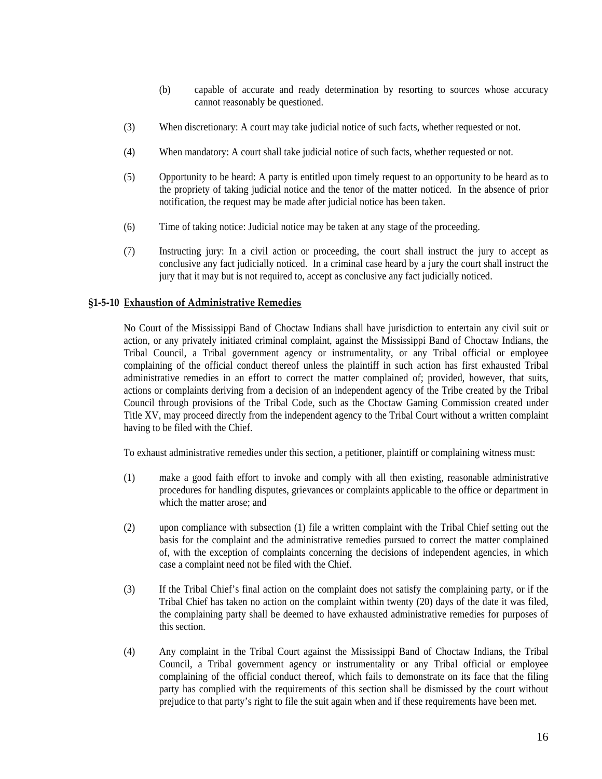- (b) capable of accurate and ready determination by resorting to sources whose accuracy cannot reasonably be questioned.
- <span id="page-15-0"></span>(3) When discretionary: A court may take judicial notice of such facts, whether requested or not.
- (4) When mandatory: A court shall take judicial notice of such facts, whether requested or not.
- (5) Opportunity to be heard: A party is entitled upon timely request to an opportunity to be heard as to the propriety of taking judicial notice and the tenor of the matter noticed. In the absence of prior notification, the request may be made after judicial notice has been taken.
- (6) Time of taking notice: Judicial notice may be taken at any stage of the proceeding.
- (7) Instructing jury: In a civil action or proceeding, the court shall instruct the jury to accept as conclusive any fact judicially noticed. In a criminal case heard by a jury the court shall instruct the jury that it may but is not required to, accept as conclusive any fact judicially noticed.

#### **§1‐5‐10 Exhaustion of Administrative Remedies**

No Court of the Mississippi Band of Choctaw Indians shall have jurisdiction to entertain any civil suit or action, or any privately initiated criminal complaint, against the Mississippi Band of Choctaw Indians, the Tribal Council, a Tribal government agency or instrumentality, or any Tribal official or employee complaining of the official conduct thereof unless the plaintiff in such action has first exhausted Tribal administrative remedies in an effort to correct the matter complained of; provided, however, that suits, actions or complaints deriving from a decision of an independent agency of the Tribe created by the Tribal Council through provisions of the Tribal Code, such as the Choctaw Gaming Commission created under Title XV, may proceed directly from the independent agency to the Tribal Court without a written complaint having to be filed with the Chief.

To exhaust administrative remedies under this section, a petitioner, plaintiff or complaining witness must:

- (1) make a good faith effort to invoke and comply with all then existing, reasonable administrative procedures for handling disputes, grievances or complaints applicable to the office or department in which the matter arose; and
- (2) upon compliance with subsection (1) file a written complaint with the Tribal Chief setting out the basis for the complaint and the administrative remedies pursued to correct the matter complained of, with the exception of complaints concerning the decisions of independent agencies, in which case a complaint need not be filed with the Chief.
- (3) If the Tribal Chief's final action on the complaint does not satisfy the complaining party, or if the Tribal Chief has taken no action on the complaint within twenty (20) days of the date it was filed, the complaining party shall be deemed to have exhausted administrative remedies for purposes of this section.
- (4) Any complaint in the Tribal Court against the Mississippi Band of Choctaw Indians, the Tribal Council, a Tribal government agency or instrumentality or any Tribal official or employee complaining of the official conduct thereof, which fails to demonstrate on its face that the filing party has complied with the requirements of this section shall be dismissed by the court without prejudice to that party's right to file the suit again when and if these requirements have been met.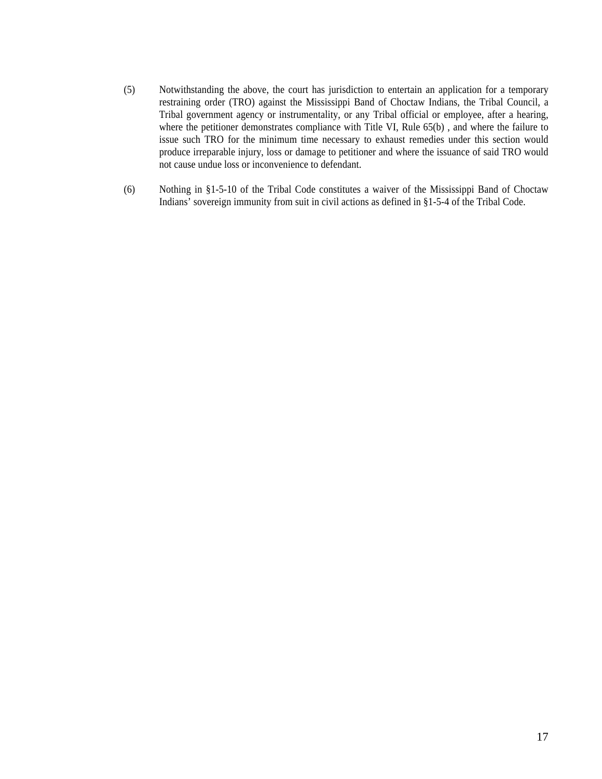- (5) Notwithstanding the above, the court has jurisdiction to entertain an application for a temporary restraining order (TRO) against the Mississippi Band of Choctaw Indians, the Tribal Council, a Tribal government agency or instrumentality, or any Tribal official or employee, after a hearing, where the petitioner demonstrates compliance with Title VI, Rule 65(b), and where the failure to issue such TRO for the minimum time necessary to exhaust remedies under this section would produce irreparable injury, loss or damage to petitioner and where the issuance of said TRO would not cause undue loss or inconvenience to defendant.
- (6) Nothing in §1-5-10 of the Tribal Code constitutes a waiver of the Mississippi Band of Choctaw Indians' sovereign immunity from suit in civil actions as defined in §1-5-4 of the Tribal Code.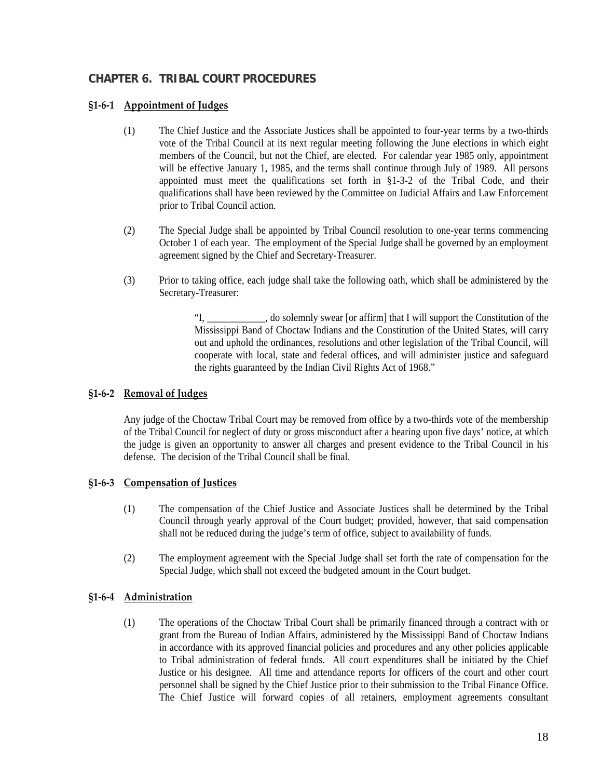## <span id="page-17-0"></span>**CHAPTER 6. TRIBAL COURT PROCEDURES**

## **§1‐6‐1 Appointment of Judges**

- (1) The Chief Justice and the Associate Justices shall be appointed to four-year terms by a two-thirds vote of the Tribal Council at its next regular meeting following the June elections in which eight members of the Council, but not the Chief, are elected. For calendar year 1985 only, appointment will be effective January 1, 1985, and the terms shall continue through July of 1989. All persons appointed must meet the qualifications set forth in §1-3-2 of the Tribal Code, and their qualifications shall have been reviewed by the Committee on Judicial Affairs and Law Enforcement prior to Tribal Council action.
- (2) The Special Judge shall be appointed by Tribal Council resolution to one-year terms commencing October 1 of each year. The employment of the Special Judge shall be governed by an employment agreement signed by the Chief and Secretary-Treasurer.
- (3) Prior to taking office, each judge shall take the following oath, which shall be administered by the Secretary-Treasurer:

"I, \_\_\_\_\_\_\_\_\_\_\_\_, do solemnly swear [or affirm] that I will support the Constitution of the Mississippi Band of Choctaw Indians and the Constitution of the United States, will carry out and uphold the ordinances, resolutions and other legislation of the Tribal Council, will cooperate with local, state and federal offices, and will administer justice and safeguard the rights guaranteed by the Indian Civil Rights Act of 1968."

## **§1‐6‐2 Removal of Judges**

Any judge of the Choctaw Tribal Court may be removed from office by a two-thirds vote of the membership of the Tribal Council for neglect of duty or gross misconduct after a hearing upon five days' notice, at which the judge is given an opportunity to answer all charges and present evidence to the Tribal Council in his defense. The decision of the Tribal Council shall be final.

## **§1‐6‐3 Compensation of Justices**

- (1) The compensation of the Chief Justice and Associate Justices shall be determined by the Tribal Council through yearly approval of the Court budget; provided, however, that said compensation shall not be reduced during the judge's term of office, subject to availability of funds.
- (2) The employment agreement with the Special Judge shall set forth the rate of compensation for the Special Judge, which shall not exceed the budgeted amount in the Court budget.

## **§1‐6‐4 Administration**

(1) The operations of the Choctaw Tribal Court shall be primarily financed through a contract with or grant from the Bureau of Indian Affairs, administered by the Mississippi Band of Choctaw Indians in accordance with its approved financial policies and procedures and any other policies applicable to Tribal administration of federal funds. All court expenditures shall be initiated by the Chief Justice or his designee. All time and attendance reports for officers of the court and other court personnel shall be signed by the Chief Justice prior to their submission to the Tribal Finance Office. The Chief Justice will forward copies of all retainers, employment agreements consultant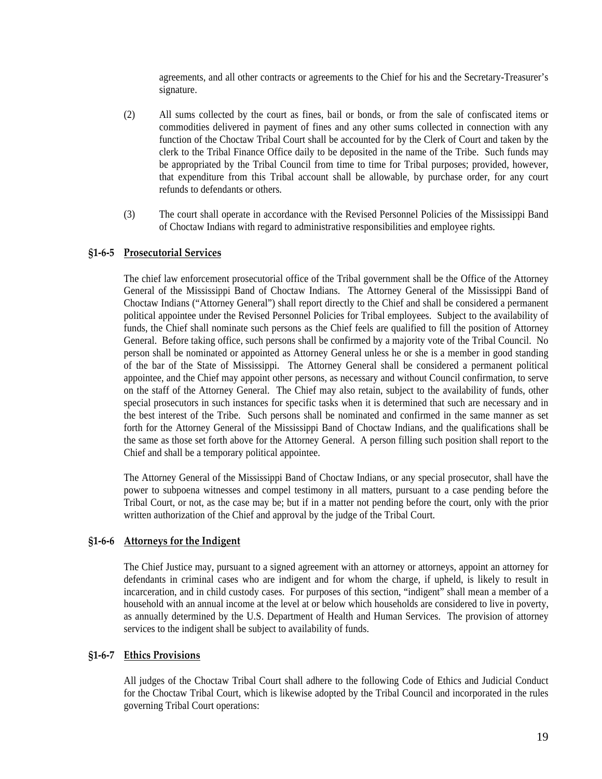agreements, and all other contracts or agreements to the Chief for his and the Secretary-Treasurer's signature.

- <span id="page-18-0"></span>(2) All sums collected by the court as fines, bail or bonds, or from the sale of confiscated items or commodities delivered in payment of fines and any other sums collected in connection with any function of the Choctaw Tribal Court shall be accounted for by the Clerk of Court and taken by the clerk to the Tribal Finance Office daily to be deposited in the name of the Tribe. Such funds may be appropriated by the Tribal Council from time to time for Tribal purposes; provided, however, that expenditure from this Tribal account shall be allowable, by purchase order, for any court refunds to defendants or others.
- (3) The court shall operate in accordance with the Revised Personnel Policies of the Mississippi Band of Choctaw Indians with regard to administrative responsibilities and employee rights.

#### **§1‐6‐5 Prosecutorial Services**

The chief law enforcement prosecutorial office of the Tribal government shall be the Office of the Attorney General of the Mississippi Band of Choctaw Indians. The Attorney General of the Mississippi Band of Choctaw Indians ("Attorney General") shall report directly to the Chief and shall be considered a permanent political appointee under the Revised Personnel Policies for Tribal employees. Subject to the availability of funds, the Chief shall nominate such persons as the Chief feels are qualified to fill the position of Attorney General. Before taking office, such persons shall be confirmed by a majority vote of the Tribal Council. No person shall be nominated or appointed as Attorney General unless he or she is a member in good standing of the bar of the State of Mississippi. The Attorney General shall be considered a permanent political appointee, and the Chief may appoint other persons, as necessary and without Council confirmation, to serve on the staff of the Attorney General. The Chief may also retain, subject to the availability of funds, other special prosecutors in such instances for specific tasks when it is determined that such are necessary and in the best interest of the Tribe. Such persons shall be nominated and confirmed in the same manner as set forth for the Attorney General of the Mississippi Band of Choctaw Indians, and the qualifications shall be the same as those set forth above for the Attorney General. A person filling such position shall report to the Chief and shall be a temporary political appointee.

The Attorney General of the Mississippi Band of Choctaw Indians, or any special prosecutor, shall have the power to subpoena witnesses and compel testimony in all matters, pursuant to a case pending before the Tribal Court, or not, as the case may be; but if in a matter not pending before the court, only with the prior written authorization of the Chief and approval by the judge of the Tribal Court.

#### **§1‐6‐6 Attorneys for the Indigent**

The Chief Justice may, pursuant to a signed agreement with an attorney or attorneys, appoint an attorney for defendants in criminal cases who are indigent and for whom the charge, if upheld, is likely to result in incarceration, and in child custody cases. For purposes of this section, "indigent" shall mean a member of a household with an annual income at the level at or below which households are considered to live in poverty, as annually determined by the U.S. Department of Health and Human Services. The provision of attorney services to the indigent shall be subject to availability of funds.

#### **§1‐6‐7 Ethics Provisions**

All judges of the Choctaw Tribal Court shall adhere to the following Code of Ethics and Judicial Conduct for the Choctaw Tribal Court, which is likewise adopted by the Tribal Council and incorporated in the rules governing Tribal Court operations: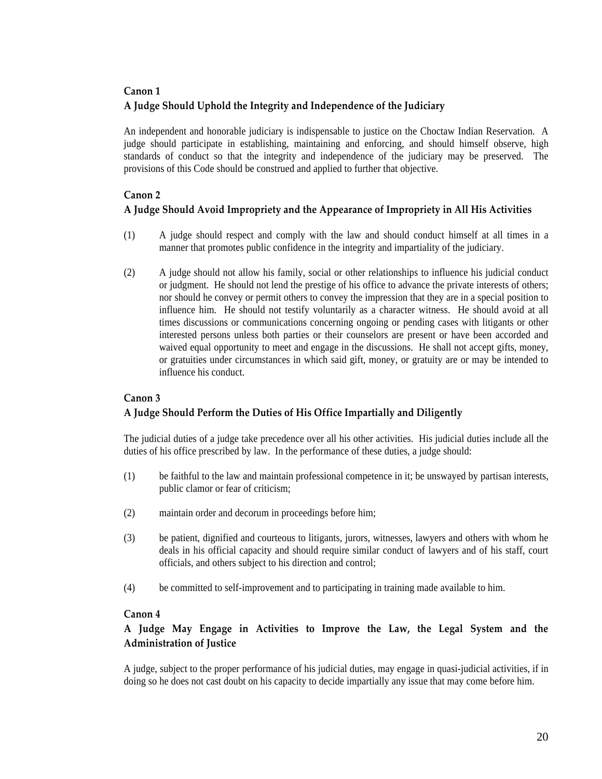## **Canon 1 A Judge Should Uphold the Integrity and Independence of the Judiciary**

 An independent and honorable judiciary is indispensable to justice on the Choctaw Indian Reservation. A judge should participate in establishing, maintaining and enforcing, and should himself observe, high standards of conduct so that the integrity and independence of the judiciary may be preserved. The provisions of this Code should be construed and applied to further that objective.

## **Canon 2**

## **A Judge Should Avoid Impropriety and the Appearance of Impropriety in All His Activities**

- (1) A judge should respect and comply with the law and should conduct himself at all times in a manner that promotes public confidence in the integrity and impartiality of the judiciary.
- (2) A judge should not allow his family, social or other relationships to influence his judicial conduct or judgment. He should not lend the prestige of his office to advance the private interests of others; nor should he convey or permit others to convey the impression that they are in a special position to influence him. He should not testify voluntarily as a character witness. He should avoid at all times discussions or communications concerning ongoing or pending cases with litigants or other interested persons unless both parties or their counselors are present or have been accorded and waived equal opportunity to meet and engage in the discussions. He shall not accept gifts, money, or gratuities under circumstances in which said gift, money, or gratuity are or may be intended to influence his conduct.

## **Canon 3 A Judge Should Perform the Duties of His Office Impartially and Diligently**

The judicial duties of a judge take precedence over all his other activities. His judicial duties include all the duties of his office prescribed by law. In the performance of these duties, a judge should:

- (1) be faithful to the law and maintain professional competence in it; be unswayed by partisan interests, public clamor or fear of criticism;
- (2) maintain order and decorum in proceedings before him;
- (3) be patient, dignified and courteous to litigants, jurors, witnesses, lawyers and others with whom he deals in his official capacity and should require similar conduct of lawyers and of his staff, court officials, and others subject to his direction and control;
- (4) be committed to self-improvement and to participating in training made available to him.

## **Canon 4**

## **A Judge May Engage in Activities to Improve the Law, the Legal System and the Administration of Justice**

A judge, subject to the proper performance of his judicial duties, may engage in quasi-judicial activities, if in doing so he does not cast doubt on his capacity to decide impartially any issue that may come before him.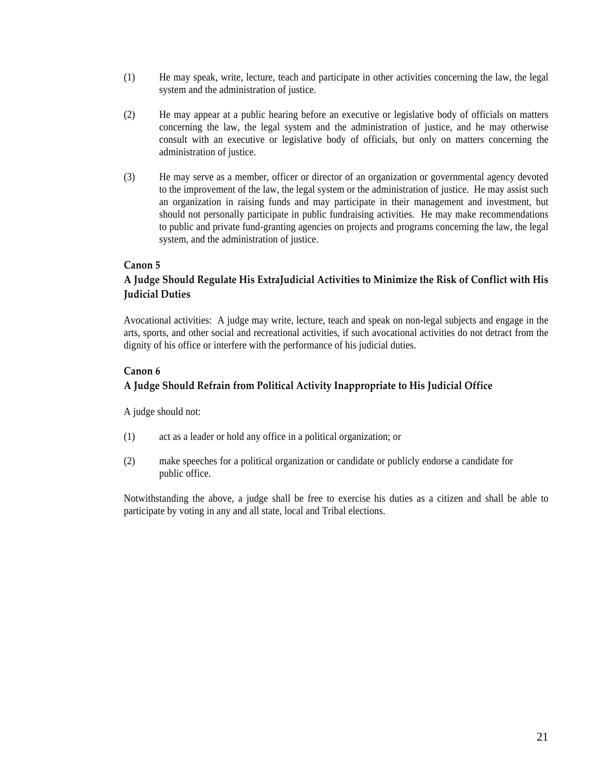- (1) He may speak, write, lecture, teach and participate in other activities concerning the law, the legal system and the administration of justice.
- (2) He may appear at a public hearing before an executive or legislative body of officials on matters concerning the law, the legal system and the administration of justice, and he may otherwise consult with an executive or legislative body of officials, but only on matters concerning the administration of justice.
- (3) He may serve as a member, officer or director of an organization or governmental agency devoted to the improvement of the law, the legal system or the administration of justice. He may assist such an organization in raising funds and may participate in their management and investment, but should not personally participate in public fundraising activities. He may make recommendations to public and private fund-granting agencies on projects and programs concerning the law, the legal system, and the administration of justice.

### **Canon 5**

## **A Judge Should Regulate His ExtraJudicial Activities to Minimize the Risk of Conflict with His Judicial Duties**

Avocational activities: A judge may write, lecture, teach and speak on non-legal subjects and engage in the arts, sports, and other social and recreational activities, if such avocational activities do not detract from the dignity of his office or interfere with the performance of his judicial duties.

#### **Canon 6**

## **A Judge Should Refrain from Political Activity Inappropriate to His Judicial Office**

A judge should not:

- (1) act as a leader or hold any office in a political organization; or
- (2) make speeches for a political organization or candidate or publicly endorse a candidate for public office.

Notwithstanding the above, a judge shall be free to exercise his duties as a citizen and shall be able to participate by voting in any and all state, local and Tribal elections.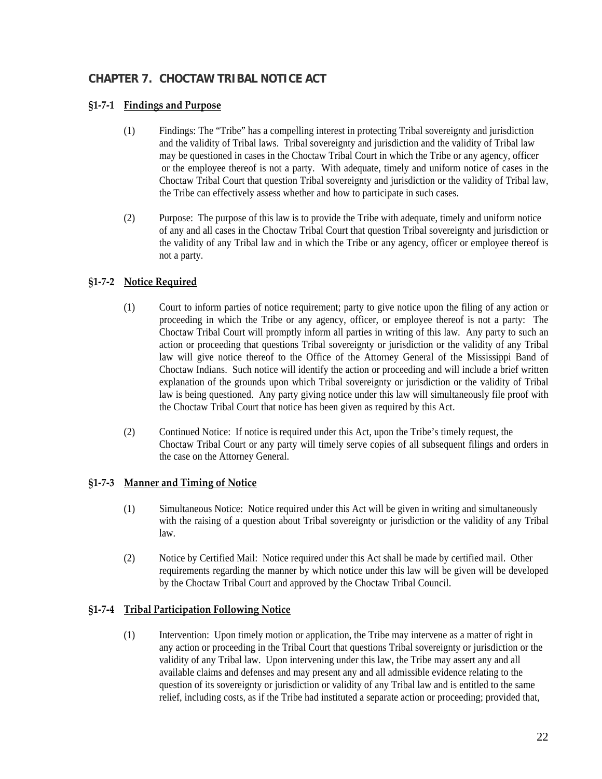## <span id="page-21-0"></span>**CHAPTER 7. CHOCTAW TRIBAL NOTICE ACT**

## **§1‐7‐1 Findings and Purpose**

- (1) Findings: The "Tribe" has a compelling interest in protecting Tribal sovereignty and jurisdiction and the validity of Tribal laws. Tribal sovereignty and jurisdiction and the validity of Tribal law may be questioned in cases in the Choctaw Tribal Court in which the Tribe or any agency, officer or the employee thereof is not a party. With adequate, timely and uniform notice of cases in the Choctaw Tribal Court that question Tribal sovereignty and jurisdiction or the validity of Tribal law, the Tribe can effectively assess whether and how to participate in such cases.
- (2) Purpose: The purpose of this law is to provide the Tribe with adequate, timely and uniform notice of any and all cases in the Choctaw Tribal Court that question Tribal sovereignty and jurisdiction or the validity of any Tribal law and in which the Tribe or any agency, officer or employee thereof is not a party.

## **§1‐7‐2 Notice Required**

- (1) Court to inform parties of notice requirement; party to give notice upon the filing of any action or proceeding in which the Tribe or any agency, officer, or employee thereof is not a party: The Choctaw Tribal Court will promptly inform all parties in writing of this law. Any party to such an action or proceeding that questions Tribal sovereignty or jurisdiction or the validity of any Tribal law will give notice thereof to the Office of the Attorney General of the Mississippi Band of Choctaw Indians. Such notice will identify the action or proceeding and will include a brief written explanation of the grounds upon which Tribal sovereignty or jurisdiction or the validity of Tribal law is being questioned. Any party giving notice under this law will simultaneously file proof with the Choctaw Tribal Court that notice has been given as required by this Act.
- (2) Continued Notice: If notice is required under this Act, upon the Tribe's timely request, the Choctaw Tribal Court or any party will timely serve copies of all subsequent filings and orders in the case on the Attorney General.

#### **§1‐7‐3 Manner and Timing of Notice**

- (1) Simultaneous Notice: Notice required under this Act will be given in writing and simultaneously with the raising of a question about Tribal sovereignty or jurisdiction or the validity of any Tribal law.
- (2) Notice by Certified Mail: Notice required under this Act shall be made by certified mail. Other requirements regarding the manner by which notice under this law will be given will be developed by the Choctaw Tribal Court and approved by the Choctaw Tribal Council.

#### **§1‐7‐4 Tribal Participation Following Notice**

 (1) Intervention: Upon timely motion or application, the Tribe may intervene as a matter of right in any action or proceeding in the Tribal Court that questions Tribal sovereignty or jurisdiction or the validity of any Tribal law. Upon intervening under this law, the Tribe may assert any and all available claims and defenses and may present any and all admissible evidence relating to the question of its sovereignty or jurisdiction or validity of any Tribal law and is entitled to the same relief, including costs, as if the Tribe had instituted a separate action or proceeding; provided that,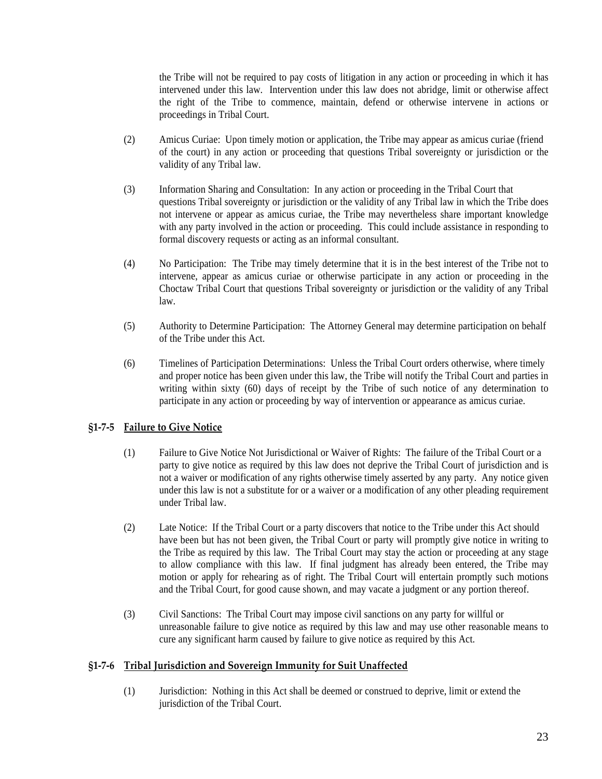<span id="page-22-0"></span>the Tribe will not be required to pay costs of litigation in any action or proceeding in which it has intervened under this law. Intervention under this law does not abridge, limit or otherwise affect the right of the Tribe to commence, maintain, defend or otherwise intervene in actions or proceedings in Tribal Court.

- (2) Amicus Curiae: Upon timely motion or application, the Tribe may appear as amicus curiae (friend of the court) in any action or proceeding that questions Tribal sovereignty or jurisdiction or the validity of any Tribal law.
- (3) Information Sharing and Consultation: In any action or proceeding in the Tribal Court that questions Tribal sovereignty or jurisdiction or the validity of any Tribal law in which the Tribe does not intervene or appear as amicus curiae, the Tribe may nevertheless share important knowledge with any party involved in the action or proceeding. This could include assistance in responding to formal discovery requests or acting as an informal consultant.
- (4) No Participation: The Tribe may timely determine that it is in the best interest of the Tribe not to intervene, appear as amicus curiae or otherwise participate in any action or proceeding in the Choctaw Tribal Court that questions Tribal sovereignty or jurisdiction or the validity of any Tribal law.
- (5) Authority to Determine Participation: The Attorney General may determine participation on behalf of the Tribe under this Act.
- (6) Timelines of Participation Determinations: Unless the Tribal Court orders otherwise, where timely and proper notice has been given under this law, the Tribe will notify the Tribal Court and parties in writing within sixty (60) days of receipt by the Tribe of such notice of any determination to participate in any action or proceeding by way of intervention or appearance as amicus curiae.

## **§1‐7‐5 Failure to Give Notice**

- (1) Failure to Give Notice Not Jurisdictional or Waiver of Rights: The failure of the Tribal Court or a party to give notice as required by this law does not deprive the Tribal Court of jurisdiction and is not a waiver or modification of any rights otherwise timely asserted by any party. Any notice given under this law is not a substitute for or a waiver or a modification of any other pleading requirement under Tribal law.
- (2) Late Notice: If the Tribal Court or a party discovers that notice to the Tribe under this Act should have been but has not been given, the Tribal Court or party will promptly give notice in writing to the Tribe as required by this law. The Tribal Court may stay the action or proceeding at any stage to allow compliance with this law. If final judgment has already been entered, the Tribe may motion or apply for rehearing as of right. The Tribal Court will entertain promptly such motions and the Tribal Court, for good cause shown, and may vacate a judgment or any portion thereof.
- (3) Civil Sanctions: The Tribal Court may impose civil sanctions on any party for willful or unreasonable failure to give notice as required by this law and may use other reasonable means to cure any significant harm caused by failure to give notice as required by this Act.

#### **§1‐7‐6 Tribal Jurisdiction and Sovereign Immunity for Suit Unaffected**

(1) Jurisdiction: Nothing in this Act shall be deemed or construed to deprive, limit or extend the jurisdiction of the Tribal Court.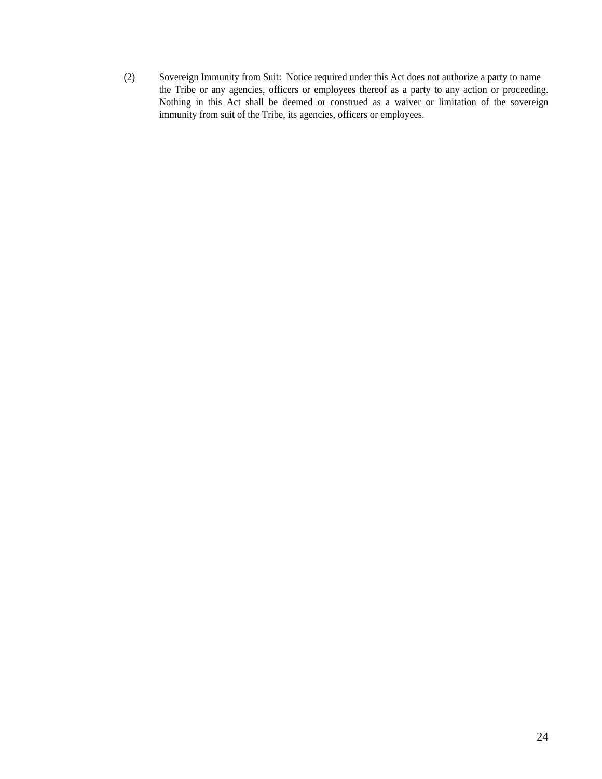(2) Sovereign Immunity from Suit: Notice required under this Act does not authorize a party to name the Tribe or any agencies, officers or employees thereof as a party to any action or proceeding. Nothing in this Act shall be deemed or construed as a waiver or limitation of the sovereign immunity from suit of the Tribe, its agencies, officers or employees.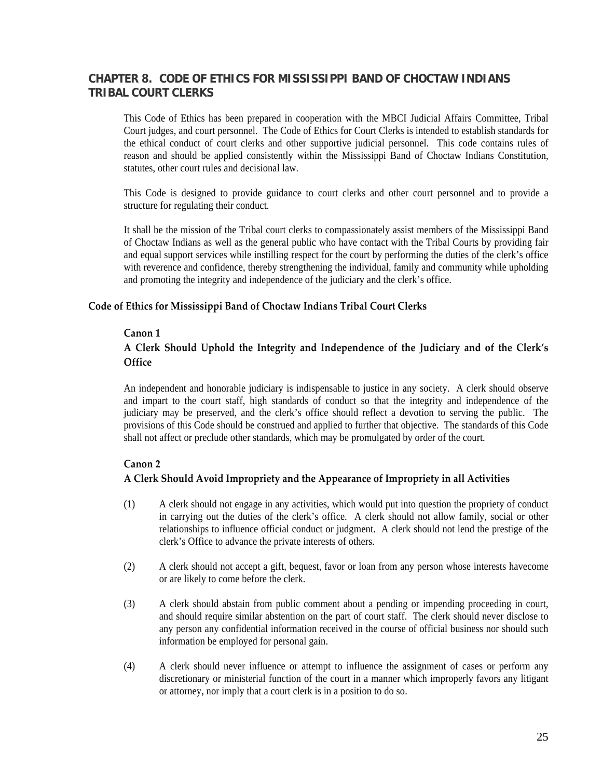## <span id="page-24-0"></span>**CHAPTER 8. CODE OF ETHICS FOR MISSISSIPPI BAND OF CHOCTAW INDIANS TRIBAL COURT CLERKS**

This Code of Ethics has been prepared in cooperation with the MBCI Judicial Affairs Committee, Tribal Court judges, and court personnel. The Code of Ethics for Court Clerks is intended to establish standards for the ethical conduct of court clerks and other supportive judicial personnel. This code contains rules of reason and should be applied consistently within the Mississippi Band of Choctaw Indians Constitution, statutes, other court rules and decisional law.

This Code is designed to provide guidance to court clerks and other court personnel and to provide a structure for regulating their conduct.

It shall be the mission of the Tribal court clerks to compassionately assist members of the Mississippi Band of Choctaw Indians as well as the general public who have contact with the Tribal Courts by providing fair and equal support services while instilling respect for the court by performing the duties of the clerk's office with reverence and confidence, thereby strengthening the individual, family and community while upholding and promoting the integrity and independence of the judiciary and the clerk's office.

### **Code of Ethics for Mississippi Band of Choctaw Indians Tribal Court Clerks**

#### **Canon 1**

## **A Clerk Should Uphold the Integrity and Independence of the Judiciary and of the Clerk's Office**

An independent and honorable judiciary is indispensable to justice in any society. A clerk should observe and impart to the court staff, high standards of conduct so that the integrity and independence of the judiciary may be preserved, and the clerk's office should reflect a devotion to serving the public. The provisions of this Code should be construed and applied to further that objective. The standards of this Code shall not affect or preclude other standards, which may be promulgated by order of the court.

#### **Canon 2**

## **A Clerk Should Avoid Impropriety and the Appearance of Impropriety in all Activities**

- (1) A clerk should not engage in any activities, which would put into question the propriety of conduct in carrying out the duties of the clerk's office. A clerk should not allow family, social or other relationships to influence official conduct or judgment. A clerk should not lend the prestige of the clerk's Office to advance the private interests of others.
- (2) A clerk should not accept a gift, bequest, favor or loan from any person whose interests havecome or are likely to come before the clerk.
- (3) A clerk should abstain from public comment about a pending or impending proceeding in court, and should require similar abstention on the part of court staff. The clerk should never disclose to any person any confidential information received in the course of official business nor should such information be employed for personal gain.
- (4) A clerk should never influence or attempt to influence the assignment of cases or perform any discretionary or ministerial function of the court in a manner which improperly favors any litigant or attorney, nor imply that a court clerk is in a position to do so.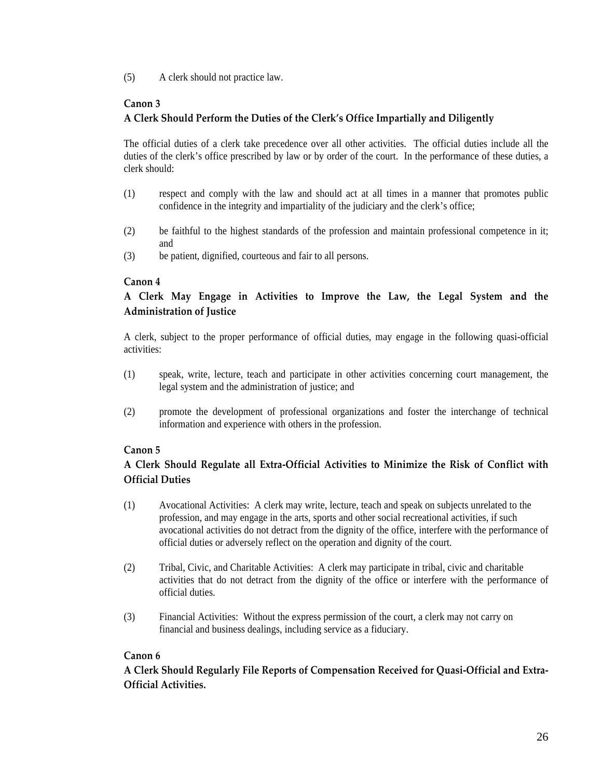(5) A clerk should not practice law.

## **Canon 3**

## **A Clerk Should Perform the Duties of the Clerk's Office Impartially and Diligently**

The official duties of a clerk take precedence over all other activities. The official duties include all the duties of the clerk's office prescribed by law or by order of the court. In the performance of these duties, a clerk should:

- (1) respect and comply with the law and should act at all times in a manner that promotes public confidence in the integrity and impartiality of the judiciary and the clerk's office;
- (2) be faithful to the highest standards of the profession and maintain professional competence in it; and
- (3) be patient, dignified, courteous and fair to all persons.

## **Canon 4**

## **A Clerk May Engage in Activities to Improve the Law, the Legal System and the Administration of Justice**

 A clerk, subject to the proper performance of official duties, may engage in the following quasi-official activities:

- (1) speak, write, lecture, teach and participate in other activities concerning court management, the legal system and the administration of justice; and
- (2) promote the development of professional organizations and foster the interchange of technical information and experience with others in the profession.

## **Canon 5**

## **A Clerk Should Regulate all Extra‐Official Activities to Minimize the Risk of Conflict with Official Duties**

- (1) Avocational Activities: A clerk may write, lecture, teach and speak on subjects unrelated to the profession, and may engage in the arts, sports and other social recreational activities, if such avocational activities do not detract from the dignity of the office, interfere with the performance of official duties or adversely reflect on the operation and dignity of the court.
- (2) Tribal, Civic, and Charitable Activities: A clerk may participate in tribal, civic and charitable activities that do not detract from the dignity of the office or interfere with the performance of official duties.
- (3) Financial Activities: Without the express permission of the court, a clerk may not carry on financial and business dealings, including service as a fiduciary.

## **Canon 6**

**A Clerk Should Regularly File Reports of Compensation Received for Quasi‐Official and Extra‐ Official Activities.**